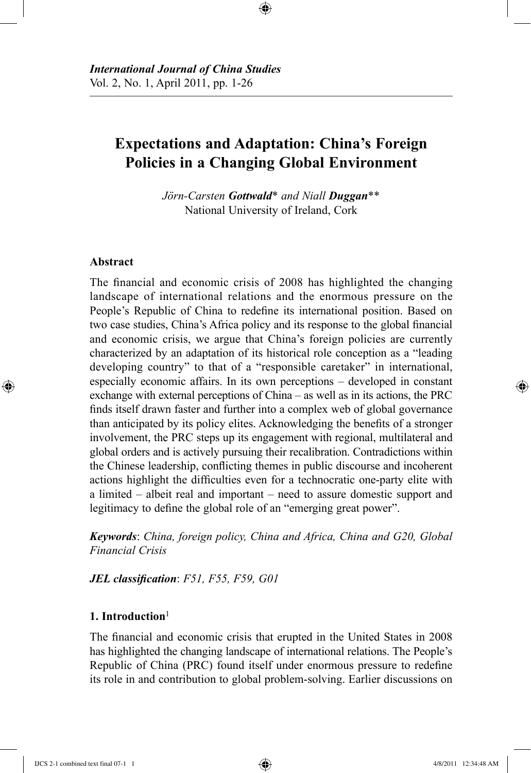# **Expectations and Adaptation: China's Foreign Policies in a Changing Global Environment**

⊕

*Jörn-Carsten Gottwald*\* *and Niall Duggan*\*\* National University of Ireland, Cork

## **Abstract**

⊕

The financial and economic crisis of 2008 has highlighted the changing landscape of international relations and the enormous pressure on the People's Republic of China to redefine its international position. Based on two case studies, China's Africa policy and its response to the global financial and economic crisis, we argue that China's foreign policies are currently characterized by an adaptation of its historical role conception as a "leading developing country" to that of a "responsible caretaker" in international, especially economic affairs. In its own perceptions – developed in constant exchange with external perceptions of China – as well as in its actions, the PRC finds itself drawn faster and further into a complex web of global governance than anticipated by its policy elites. Acknowledging the benefits of a stronger involvement, the PRC steps up its engagement with regional, multilateral and global orders and is actively pursuing their recalibration. Contradictions within the Chinese leadership, conflicting themes in public discourse and incoherent actions highlight the difficulties even for a technocratic one-party elite with a limited – albeit real and important – need to assure domestic support and legitimacy to define the global role of an "emerging great power".

*Keywords*: *China, foreign policy, China and Africa, China and G20, Global Financial Crisis*

*JEL classification*: *F51, F55, F59, G01*

## **1. Introduction**<sup>1</sup>

The financial and economic crisis that erupted in the United States in 2008 has highlighted the changing landscape of international relations. The People's Republic of China (PRC) found itself under enormous pressure to redefine its role in and contribution to global problem-solving. Earlier discussions on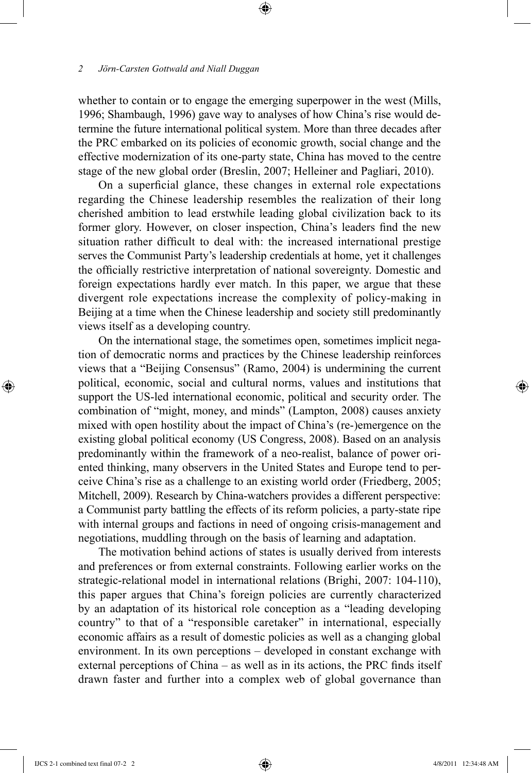whether to contain or to engage the emerging superpower in the west (Mills, 1996; Shambaugh, 1996) gave way to analyses of how China's rise would determine the future international political system. More than three decades after the PRC embarked on its policies of economic growth, social change and the effective modernization of its one-party state, China has moved to the centre stage of the new global order (Breslin, 2007; Helleiner and Pagliari, 2010).

⊕

On a superficial glance, these changes in external role expectations regarding the Chinese leadership resembles the realization of their long cherished ambition to lead erstwhile leading global civilization back to its former glory. However, on closer inspection, China's leaders find the new situation rather difficult to deal with: the increased international prestige serves the Communist Party's leadership credentials at home, yet it challenges the officially restrictive interpretation of national sovereignty. Domestic and foreign expectations hardly ever match. In this paper, we argue that these divergent role expectations increase the complexity of policy-making in Beijing at a time when the Chinese leadership and society still predominantly views itself as a developing country.

On the international stage, the sometimes open, sometimes implicit negation of democratic norms and practices by the Chinese leadership reinforces views that a "Beijing Consensus" (Ramo, 2004) is undermining the current political, economic, social and cultural norms, values and institutions that support the US-led international economic, political and security order. The combination of "might, money, and minds" (Lampton, 2008) causes anxiety mixed with open hostility about the impact of China's (re-)emergence on the existing global political economy (US Congress, 2008). Based on an analysis predominantly within the framework of a neo-realist, balance of power oriented thinking, many observers in the United States and Europe tend to perceive China's rise as a challenge to an existing world order (Friedberg, 2005; Mitchell, 2009). Research by China-watchers provides a different perspective: a Communist party battling the effects of its reform policies, a party-state ripe with internal groups and factions in need of ongoing crisis-management and negotiations, muddling through on the basis of learning and adaptation.

The motivation behind actions of states is usually derived from interests and preferences or from external constraints. Following earlier works on the strategic-relational model in international relations (Brighi, 2007: 104-110), this paper argues that China's foreign policies are currently characterized by an adaptation of its historical role conception as a "leading developing country" to that of a "responsible caretaker" in international, especially economic affairs as a result of domestic policies as well as a changing global environment. In its own perceptions – developed in constant exchange with external perceptions of China – as well as in its actions, the PRC finds itself drawn faster and further into a complex web of global governance than

⊕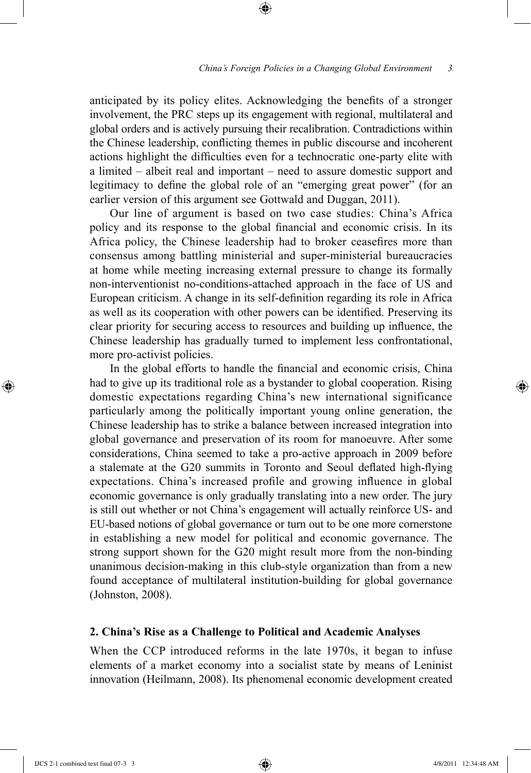anticipated by its policy elites. Acknowledging the benefits of a stronger involvement, the PRC steps up its engagement with regional, multilateral and global orders and is actively pursuing their recalibration. Contradictions within the Chinese leadership, conflicting themes in public discourse and incoherent actions highlight the difficulties even for a technocratic one-party elite with a limited – albeit real and important – need to assure domestic support and legitimacy to define the global role of an "emerging great power" (for an earlier version of this argument see Gottwald and Duggan, 2011).

⊕

Our line of argument is based on two case studies: China's Africa policy and its response to the global financial and economic crisis. In its Africa policy, the Chinese leadership had to broker ceasefires more than consensus among battling ministerial and super-ministerial bureaucracies at home while meeting increasing external pressure to change its formally non-interventionist no-conditions-attached approach in the face of US and European criticism. A change in its self-definition regarding its role in Africa as well as its cooperation with other powers can be identified. Preserving its clear priority for securing access to resources and building up influence, the Chinese leadership has gradually turned to implement less confrontational, more pro-activist policies.

In the global efforts to handle the financial and economic crisis, China had to give up its traditional role as a bystander to global cooperation. Rising domestic expectations regarding China's new international significance particularly among the politically important young online generation, the Chinese leadership has to strike a balance between increased integration into global governance and preservation of its room for manoeuvre. After some considerations, China seemed to take a pro-active approach in 2009 before a stalemate at the G20 summits in Toronto and Seoul deflated high-flying expectations. China's increased profile and growing influence in global economic governance is only gradually translating into a new order. The jury is still out whether or not China's engagement will actually reinforce US- and EU-based notions of global governance or turn out to be one more cornerstone in establishing a new model for political and economic governance. The strong support shown for the G20 might result more from the non-binding unanimous decision-making in this club-style organization than from a new found acceptance of multilateral institution-building for global governance (Johnston, 2008).

## **2. China's Rise as a Challenge to Political and Academic Analyses**

When the CCP introduced reforms in the late 1970s, it began to infuse elements of a market economy into a socialist state by means of Leninist innovation (Heilmann, 2008). Its phenomenal economic development created

IJCS 2-1 combined text final 07-3 3 4/8/2011 12:34:48 AM

⊕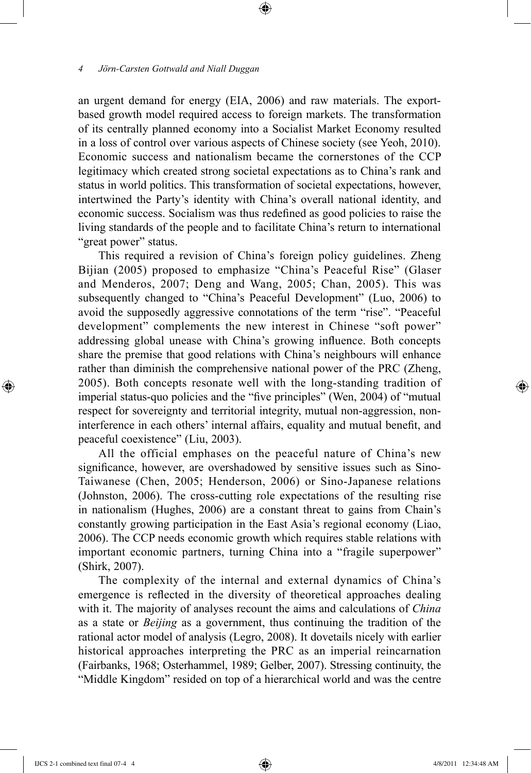an urgent demand for energy (EIA, 2006) and raw materials. The exportbased growth model required access to foreign markets. The transformation of its centrally planned economy into a Socialist Market Economy resulted in a loss of control over various aspects of Chinese society (see Yeoh, 2010). Economic success and nationalism became the cornerstones of the CCP legitimacy which created strong societal expectations as to China's rank and status in world politics. This transformation of societal expectations, however, intertwined the Party's identity with China's overall national identity, and economic success. Socialism was thus redefined as good policies to raise the living standards of the people and to facilitate China's return to international "great power" status.

⊕

This required a revision of China's foreign policy guidelines. Zheng Bijian (2005) proposed to emphasize "China's Peaceful Rise" (Glaser and Menderos, 2007; Deng and Wang, 2005; Chan, 2005). This was subsequently changed to "China's Peaceful Development" (Luo, 2006) to avoid the supposedly aggressive connotations of the term "rise". "Peaceful development" complements the new interest in Chinese "soft power" addressing global unease with China's growing influence. Both concepts share the premise that good relations with China's neighbours will enhance rather than diminish the comprehensive national power of the PRC (Zheng, 2005). Both concepts resonate well with the long-standing tradition of imperial status-quo policies and the "five principles" (Wen, 2004) of "mutual respect for sovereignty and territorial integrity, mutual non-aggression, noninterference in each others' internal affairs, equality and mutual benefit, and peaceful coexistence" (Liu, 2003).

All the official emphases on the peaceful nature of China's new significance, however, are overshadowed by sensitive issues such as Sino-Taiwanese (Chen, 2005; Henderson, 2006) or Sino-Japanese relations (Johnston, 2006). The cross-cutting role expectations of the resulting rise in nationalism (Hughes, 2006) are a constant threat to gains from Chain's constantly growing participation in the East Asia's regional economy (Liao, 2006). The CCP needs economic growth which requires stable relations with important economic partners, turning China into a "fragile superpower" (Shirk, 2007).

The complexity of the internal and external dynamics of China's emergence is reflected in the diversity of theoretical approaches dealing with it. The majority of analyses recount the aims and calculations of *China* as a state or *Beijing* as a government, thus continuing the tradition of the rational actor model of analysis (Legro, 2008). It dovetails nicely with earlier historical approaches interpreting the PRC as an imperial reincarnation (Fairbanks, 1968; Osterhammel, 1989; Gelber, 2007). Stressing continuity, the "Middle Kingdom" resided on top of a hierarchical world and was the centre

⊕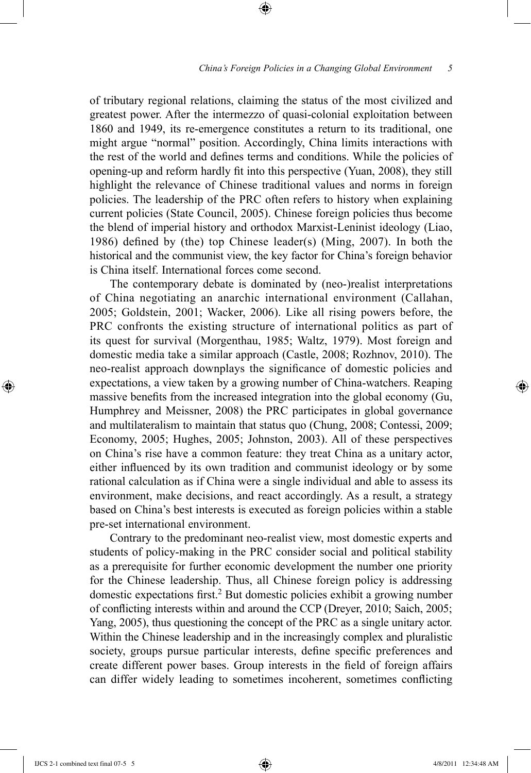#### *China's Foreign Policies in a Changing Global Environment*   $\overline{5}$

of tributary regional relations, claiming the status of the most civilized and greatest power. After the intermezzo of quasi-colonial exploitation between 1860 and 1949, its re-emergence constitutes a return to its traditional, one might argue "normal" position. Accordingly, China limits interactions with the rest of the world and defines terms and conditions. While the policies of opening-up and reform hardly fit into this perspective (Yuan, 2008), they still highlight the relevance of Chinese traditional values and norms in foreign policies. The leadership of the PRC often refers to history when explaining current policies (State Council, 2005). Chinese foreign policies thus become the blend of imperial history and orthodox Marxist-Leninist ideology (Liao, 1986) defined by (the) top Chinese leader(s) (Ming, 2007). In both the historical and the communist view, the key factor for China's foreign behavior is China itself. International forces come second.

⊕

The contemporary debate is dominated by (neo-)realist interpretations of China negotiating an anarchic international environment (Callahan, 2005; Goldstein, 2001; Wacker, 2006). Like all rising powers before, the PRC confronts the existing structure of international politics as part of its quest for survival (Morgenthau, 1985; Waltz, 1979). Most foreign and domestic media take a similar approach (Castle, 2008; Rozhnov, 2010). The neo-realist approach downplays the significance of domestic policies and expectations, a view taken by a growing number of China-watchers. Reaping massive benefits from the increased integration into the global economy (Gu, Humphrey and Meissner, 2008) the PRC participates in global governance and multilateralism to maintain that status quo (Chung, 2008; Contessi, 2009; Economy, 2005; Hughes, 2005; Johnston, 2003). All of these perspectives on China's rise have a common feature: they treat China as a unitary actor, either influenced by its own tradition and communist ideology or by some rational calculation as if China were a single individual and able to assess its environment, make decisions, and react accordingly. As a result, a strategy based on China's best interests is executed as foreign policies within a stable pre-set international environment.

Contrary to the predominant neo-realist view, most domestic experts and students of policy-making in the PRC consider social and political stability as a prerequisite for further economic development the number one priority for the Chinese leadership. Thus, all Chinese foreign policy is addressing domestic expectations first.2 But domestic policies exhibit a growing number of conflicting interests within and around the CCP (Dreyer, 2010; Saich, 2005; Yang, 2005), thus questioning the concept of the PRC as a single unitary actor. Within the Chinese leadership and in the increasingly complex and pluralistic society, groups pursue particular interests, define specific preferences and create different power bases. Group interests in the field of foreign affairs can differ widely leading to sometimes incoherent, sometimes conflicting

IJCS 2-1 combined text final 07-5 5 4/8/2011 12:34:48 AM

⊕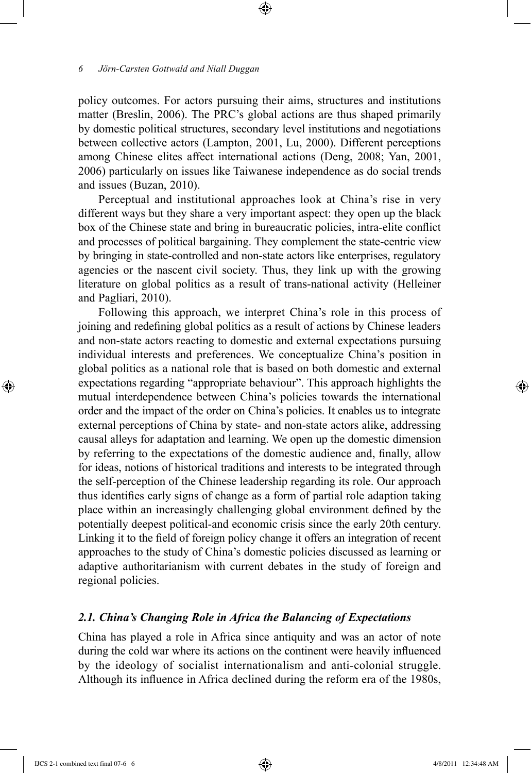policy outcomes. For actors pursuing their aims, structures and institutions matter (Breslin, 2006). The PRC's global actions are thus shaped primarily by domestic political structures, secondary level institutions and negotiations between collective actors (Lampton, 2001, Lu, 2000). Different perceptions among Chinese elites affect international actions (Deng, 2008; Yan, 2001, 2006) particularly on issues like Taiwanese independence as do social trends and issues (Buzan, 2010).

⊕

Perceptual and institutional approaches look at China's rise in very different ways but they share a very important aspect: they open up the black box of the Chinese state and bring in bureaucratic policies, intra-elite conflict and processes of political bargaining. They complement the state-centric view by bringing in state-controlled and non-state actors like enterprises, regulatory agencies or the nascent civil society. Thus, they link up with the growing literature on global politics as a result of trans-national activity (Helleiner and Pagliari, 2010).

Following this approach, we interpret China's role in this process of joining and redefining global politics as a result of actions by Chinese leaders and non-state actors reacting to domestic and external expectations pursuing individual interests and preferences. We conceptualize China's position in global politics as a national role that is based on both domestic and external expectations regarding "appropriate behaviour". This approach highlights the mutual interdependence between China's policies towards the international order and the impact of the order on China's policies. It enables us to integrate external perceptions of China by state- and non-state actors alike, addressing causal alleys for adaptation and learning. We open up the domestic dimension by referring to the expectations of the domestic audience and, finally, allow for ideas, notions of historical traditions and interests to be integrated through the self-perception of the Chinese leadership regarding its role. Our approach thus identifies early signs of change as a form of partial role adaption taking place within an increasingly challenging global environment defined by the potentially deepest political-and economic crisis since the early 20th century. Linking it to the field of foreign policy change it offers an integration of recent approaches to the study of China's domestic policies discussed as learning or adaptive authoritarianism with current debates in the study of foreign and regional policies.

## *2.1. China's Changing Role in Africa the Balancing of Expectations*

China has played a role in Africa since antiquity and was an actor of note during the cold war where its actions on the continent were heavily influenced by the ideology of socialist internationalism and anti-colonial struggle. Although its influence in Africa declined during the reform era of the 1980s,

⊕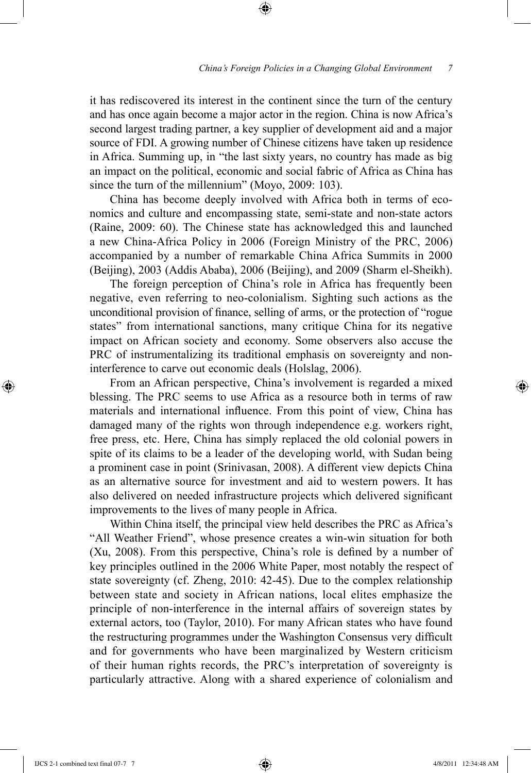it has rediscovered its interest in the continent since the turn of the century and has once again become a major actor in the region. China is now Africa's second largest trading partner, a key supplier of development aid and a major source of FDI. A growing number of Chinese citizens have taken up residence in Africa. Summing up, in "the last sixty years, no country has made as big an impact on the political, economic and social fabric of Africa as China has since the turn of the millennium" (Moyo, 2009: 103).

⊕

China has become deeply involved with Africa both in terms of economics and culture and encompassing state, semi-state and non-state actors (Raine, 2009: 60). The Chinese state has acknowledged this and launched a new China-Africa Policy in 2006 (Foreign Ministry of the PRC, 2006) accompanied by a number of remarkable China Africa Summits in 2000 (Beijing), 2003 (Addis Ababa), 2006 (Beijing), and 2009 (Sharm el-Sheikh).

The foreign perception of China's role in Africa has frequently been negative, even referring to neo-colonialism. Sighting such actions as the unconditional provision of finance, selling of arms, or the protection of "rogue states" from international sanctions, many critique China for its negative impact on African society and economy. Some observers also accuse the PRC of instrumentalizing its traditional emphasis on sovereignty and noninterference to carve out economic deals (Holslag, 2006).

From an African perspective, China's involvement is regarded a mixed blessing. The PRC seems to use Africa as a resource both in terms of raw materials and international influence. From this point of view, China has damaged many of the rights won through independence e.g. workers right, free press, etc. Here, China has simply replaced the old colonial powers in spite of its claims to be a leader of the developing world, with Sudan being a prominent case in point (Srinivasan, 2008). A different view depicts China as an alternative source for investment and aid to western powers. It has also delivered on needed infrastructure projects which delivered significant improvements to the lives of many people in Africa.

Within China itself, the principal view held describes the PRC as Africa's "All Weather Friend", whose presence creates a win-win situation for both (Xu, 2008). From this perspective, China's role is defined by a number of key principles outlined in the 2006 White Paper, most notably the respect of state sovereignty (cf. Zheng, 2010: 42-45). Due to the complex relationship between state and society in African nations, local elites emphasize the principle of non-interference in the internal affairs of sovereign states by external actors, too (Taylor, 2010). For many African states who have found the restructuring programmes under the Washington Consensus very difficult and for governments who have been marginalized by Western criticism of their human rights records, the PRC's interpretation of sovereignty is particularly attractive. Along with a shared experience of colonialism and

⊕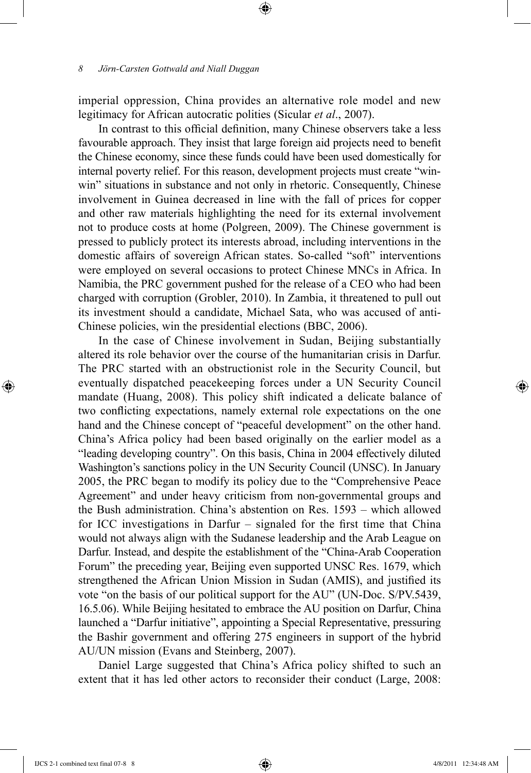imperial oppression, China provides an alternative role model and new legitimacy for African autocratic polities (Sicular *et al*., 2007).

⊕

In contrast to this official definition, many Chinese observers take a less favourable approach. They insist that large foreign aid projects need to benefit the Chinese economy, since these funds could have been used domestically for internal poverty relief. For this reason, development projects must create "winwin" situations in substance and not only in rhetoric. Consequently, Chinese involvement in Guinea decreased in line with the fall of prices for copper and other raw materials highlighting the need for its external involvement not to produce costs at home (Polgreen, 2009). The Chinese government is pressed to publicly protect its interests abroad, including interventions in the domestic affairs of sovereign African states. So-called "soft" interventions were employed on several occasions to protect Chinese MNCs in Africa. In Namibia, the PRC government pushed for the release of a CEO who had been charged with corruption (Grobler, 2010). In Zambia, it threatened to pull out its investment should a candidate, Michael Sata, who was accused of anti-Chinese policies, win the presidential elections (BBC, 2006).

In the case of Chinese involvement in Sudan, Beijing substantially altered its role behavior over the course of the humanitarian crisis in Darfur. The PRC started with an obstructionist role in the Security Council, but eventually dispatched peacekeeping forces under a UN Security Council mandate (Huang, 2008). This policy shift indicated a delicate balance of two conflicting expectations, namely external role expectations on the one hand and the Chinese concept of "peaceful development" on the other hand. China's Africa policy had been based originally on the earlier model as a "leading developing country". On this basis, China in 2004 effectively diluted Washington's sanctions policy in the UN Security Council (UNSC). In January 2005, the PRC began to modify its policy due to the "Comprehensive Peace Agreement" and under heavy criticism from non-governmental groups and the Bush administration. China's abstention on Res. 1593 – which allowed for ICC investigations in Darfur – signaled for the first time that China would not always align with the Sudanese leadership and the Arab League on Darfur. Instead, and despite the establishment of the "China-Arab Cooperation Forum" the preceding year, Beijing even supported UNSC Res. 1679, which strengthened the African Union Mission in Sudan (AMIS), and justified its vote "on the basis of our political support for the AU" (UN-Doc. S/PV.5439, 16.5.06). While Beijing hesitated to embrace the AU position on Darfur, China launched a "Darfur initiative", appointing a Special Representative, pressuring the Bashir government and offering 275 engineers in support of the hybrid AU/UN mission (Evans and Steinberg, 2007).

Daniel Large suggested that China's Africa policy shifted to such an extent that it has led other actors to reconsider their conduct (Large, 2008:

⊕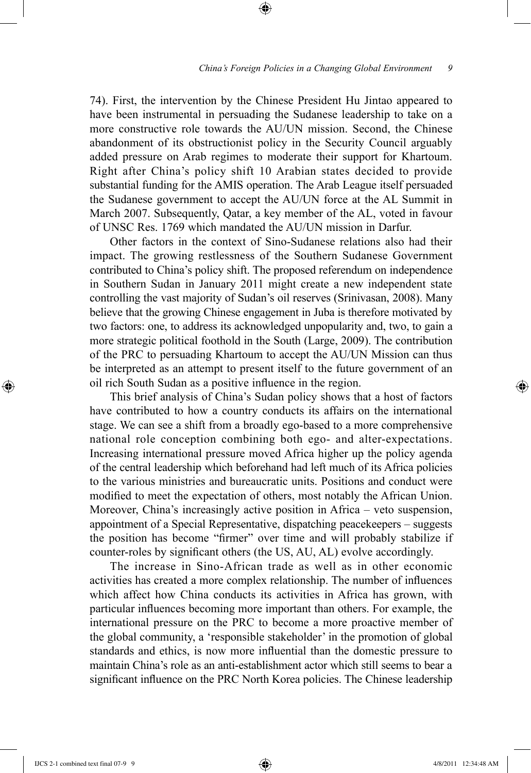#### *China's Foreign Policies in a Changing Global Environment*  9

74). First, the intervention by the Chinese President Hu Jintao appeared to have been instrumental in persuading the Sudanese leadership to take on a more constructive role towards the AU/UN mission. Second, the Chinese abandonment of its obstructionist policy in the Security Council arguably added pressure on Arab regimes to moderate their support for Khartoum. Right after China's policy shift 10 Arabian states decided to provide substantial funding for the AMIS operation. The Arab League itself persuaded the Sudanese government to accept the AU/UN force at the AL Summit in March 2007. Subsequently, Qatar, a key member of the AL, voted in favour of UNSC Res. 1769 which mandated the AU/UN mission in Darfur.

⊕

Other factors in the context of Sino-Sudanese relations also had their impact. The growing restlessness of the Southern Sudanese Government contributed to China's policy shift. The proposed referendum on independence in Southern Sudan in January 2011 might create a new independent state controlling the vast majority of Sudan's oil reserves (Srinivasan, 2008). Many believe that the growing Chinese engagement in Juba is therefore motivated by two factors: one, to address its acknowledged unpopularity and, two, to gain a more strategic political foothold in the South (Large, 2009). The contribution of the PRC to persuading Khartoum to accept the AU/UN Mission can thus be interpreted as an attempt to present itself to the future government of an oil rich South Sudan as a positive influence in the region.

This brief analysis of China's Sudan policy shows that a host of factors have contributed to how a country conducts its affairs on the international stage. We can see a shift from a broadly ego-based to a more comprehensive national role conception combining both ego- and alter-expectations. Increasing international pressure moved Africa higher up the policy agenda of the central leadership which beforehand had left much of its Africa policies to the various ministries and bureaucratic units. Positions and conduct were modified to meet the expectation of others, most notably the African Union. Moreover, China's increasingly active position in Africa – veto suspension, appointment of a Special Representative, dispatching peacekeepers – suggests the position has become "firmer" over time and will probably stabilize if counter-roles by significant others (the US, AU, AL) evolve accordingly.

The increase in Sino-African trade as well as in other economic activities has created a more complex relationship. The number of influences which affect how China conducts its activities in Africa has grown, with particular influences becoming more important than others. For example, the international pressure on the PRC to become a more proactive member of the global community, a 'responsible stakeholder' in the promotion of global standards and ethics, is now more influential than the domestic pressure to maintain China's role as an anti-establishment actor which still seems to bear a significant influence on the PRC North Korea policies. The Chinese leadership

IJCS 2-1 combined text final 07-9 9 4/8/2011 12:34:48 AM

⊕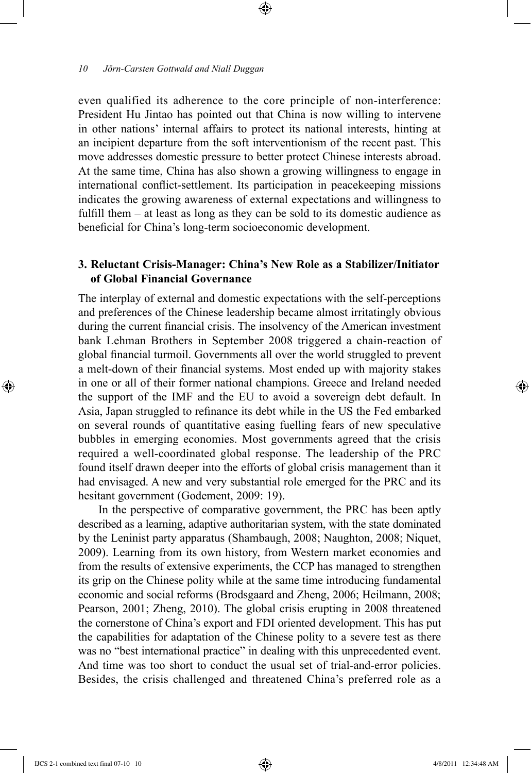even qualified its adherence to the core principle of non-interference: President Hu Jintao has pointed out that China is now willing to intervene in other nations' internal affairs to protect its national interests, hinting at an incipient departure from the soft interventionism of the recent past. This move addresses domestic pressure to better protect Chinese interests abroad. At the same time, China has also shown a growing willingness to engage in international conflict-settlement. Its participation in peacekeeping missions indicates the growing awareness of external expectations and willingness to fulfill them – at least as long as they can be sold to its domestic audience as beneficial for China's long-term socioeconomic development.

⊕

## **3. Reluctant Crisis-Manager: China's New Role as a Stabilizer/Initiator of Global Financial Governance**

The interplay of external and domestic expectations with the self-perceptions and preferences of the Chinese leadership became almost irritatingly obvious during the current financial crisis. The insolvency of the American investment bank Lehman Brothers in September 2008 triggered a chain-reaction of global financial turmoil. Governments all over the world struggled to prevent a melt-down of their financial systems. Most ended up with majority stakes in one or all of their former national champions. Greece and Ireland needed the support of the IMF and the EU to avoid a sovereign debt default. In Asia, Japan struggled to refinance its debt while in the US the Fed embarked on several rounds of quantitative easing fuelling fears of new speculative bubbles in emerging economies. Most governments agreed that the crisis required a well-coordinated global response. The leadership of the PRC found itself drawn deeper into the efforts of global crisis management than it had envisaged. A new and very substantial role emerged for the PRC and its hesitant government (Godement, 2009: 19).

In the perspective of comparative government, the PRC has been aptly described as a learning, adaptive authoritarian system, with the state dominated by the Leninist party apparatus (Shambaugh, 2008; Naughton, 2008; Niquet, 2009). Learning from its own history, from Western market economies and from the results of extensive experiments, the CCP has managed to strengthen its grip on the Chinese polity while at the same time introducing fundamental economic and social reforms (Brodsgaard and Zheng, 2006; Heilmann, 2008; Pearson, 2001; Zheng, 2010). The global crisis erupting in 2008 threatened the cornerstone of China's export and FDI oriented development. This has put the capabilities for adaptation of the Chinese polity to a severe test as there was no "best international practice" in dealing with this unprecedented event. And time was too short to conduct the usual set of trial-and-error policies. Besides, the crisis challenged and threatened China's preferred role as a

IJCS 2-1 combined text final 07-10 10 4/8/2011 12:34:48 AM

⊕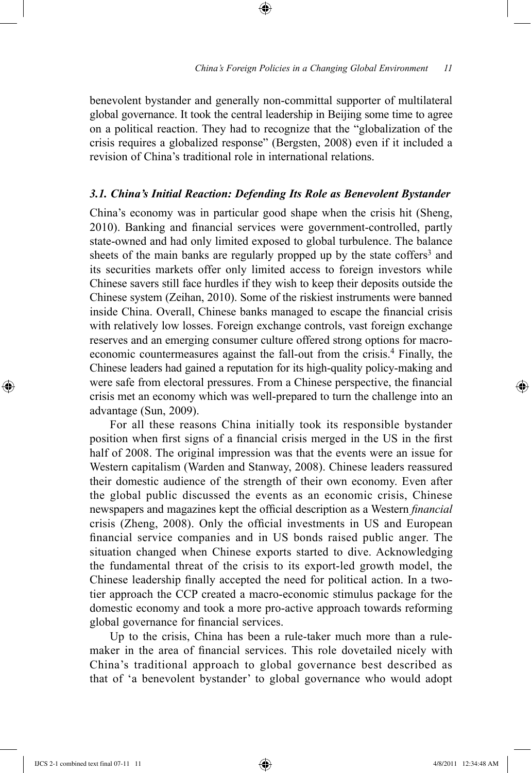benevolent bystander and generally non-committal supporter of multilateral global governance. It took the central leadership in Beijing some time to agree on a political reaction. They had to recognize that the "globalization of the crisis requires a globalized response" (Bergsten, 2008) even if it included a revision of China's traditional role in international relations.

⊕

## *3.1. China's Initial Reaction: Defending Its Role as Benevolent Bystander*

China's economy was in particular good shape when the crisis hit (Sheng, 2010). Banking and financial services were government-controlled, partly state-owned and had only limited exposed to global turbulence. The balance sheets of the main banks are regularly propped up by the state coffers<sup>3</sup> and its securities markets offer only limited access to foreign investors while Chinese savers still face hurdles if they wish to keep their deposits outside the Chinese system (Zeihan, 2010). Some of the riskiest instruments were banned inside China. Overall, Chinese banks managed to escape the financial crisis with relatively low losses. Foreign exchange controls, vast foreign exchange reserves and an emerging consumer culture offered strong options for macroeconomic countermeasures against the fall-out from the crisis.<sup>4</sup> Finally, the Chinese leaders had gained a reputation for its high-quality policy-making and were safe from electoral pressures. From a Chinese perspective, the financial crisis met an economy which was well-prepared to turn the challenge into an advantage (Sun, 2009).

For all these reasons China initially took its responsible bystander position when first signs of a financial crisis merged in the US in the first half of 2008. The original impression was that the events were an issue for Western capitalism (Warden and Stanway, 2008). Chinese leaders reassured their domestic audience of the strength of their own economy. Even after the global public discussed the events as an economic crisis, Chinese newspapers and magazines kept the official description as a Western *financial* crisis (Zheng, 2008). Only the official investments in US and European financial service companies and in US bonds raised public anger. The situation changed when Chinese exports started to dive. Acknowledging the fundamental threat of the crisis to its export-led growth model, the Chinese leadership finally accepted the need for political action. In a twotier approach the CCP created a macro-economic stimulus package for the domestic economy and took a more pro-active approach towards reforming global governance for financial services.

Up to the crisis, China has been a rule-taker much more than a rulemaker in the area of financial services. This role dovetailed nicely with China's traditional approach to global governance best described as that of 'a benevolent bystander' to global governance who would adopt

⊕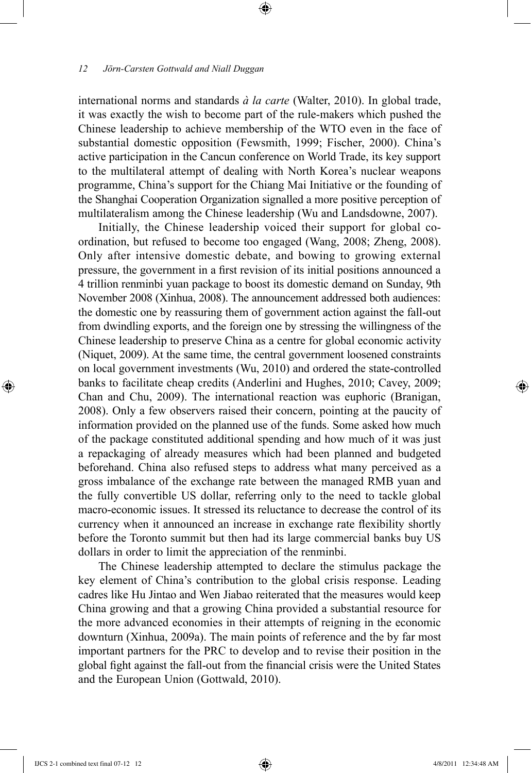international norms and standards *à la carte* (Walter, 2010). In global trade, it was exactly the wish to become part of the rule-makers which pushed the Chinese leadership to achieve membership of the WTO even in the face of substantial domestic opposition (Fewsmith, 1999; Fischer, 2000). China's active participation in the Cancun conference on World Trade, its key support to the multilateral attempt of dealing with North Korea's nuclear weapons programme, China's support for the Chiang Mai Initiative or the founding of the Shanghai Cooperation Organization signalled a more positive perception of multilateralism among the Chinese leadership (Wu and Landsdowne, 2007).

⊕

Initially, the Chinese leadership voiced their support for global coordination, but refused to become too engaged (Wang, 2008; Zheng, 2008). Only after intensive domestic debate, and bowing to growing external pressure, the government in a first revision of its initial positions announced a 4 trillion renminbi yuan package to boost its domestic demand on Sunday, 9th November 2008 (Xinhua, 2008). The announcement addressed both audiences: the domestic one by reassuring them of government action against the fall-out from dwindling exports, and the foreign one by stressing the willingness of the Chinese leadership to preserve China as a centre for global economic activity (Niquet, 2009). At the same time, the central government loosened constraints on local government investments (Wu, 2010) and ordered the state-controlled banks to facilitate cheap credits (Anderlini and Hughes, 2010; Cavey, 2009; Chan and Chu, 2009). The international reaction was euphoric (Branigan, 2008). Only a few observers raised their concern, pointing at the paucity of information provided on the planned use of the funds. Some asked how much of the package constituted additional spending and how much of it was just a repackaging of already measures which had been planned and budgeted beforehand. China also refused steps to address what many perceived as a gross imbalance of the exchange rate between the managed RMB yuan and the fully convertible US dollar, referring only to the need to tackle global macro-economic issues. It stressed its reluctance to decrease the control of its currency when it announced an increase in exchange rate flexibility shortly before the Toronto summit but then had its large commercial banks buy US dollars in order to limit the appreciation of the renminbi.

The Chinese leadership attempted to declare the stimulus package the key element of China's contribution to the global crisis response. Leading cadres like Hu Jintao and Wen Jiabao reiterated that the measures would keep China growing and that a growing China provided a substantial resource for the more advanced economies in their attempts of reigning in the economic downturn (Xinhua, 2009a). The main points of reference and the by far most important partners for the PRC to develop and to revise their position in the global fight against the fall-out from the financial crisis were the United States and the European Union (Gottwald, 2010).

⊕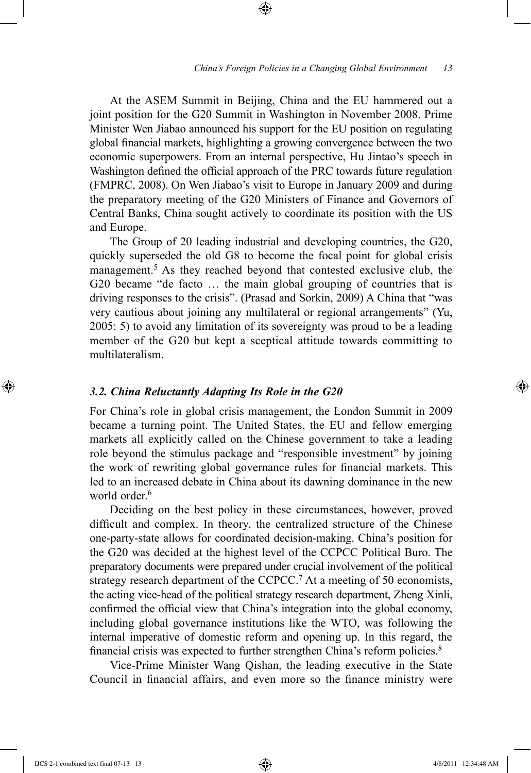At the ASEM Summit in Beijing, China and the EU hammered out a joint position for the G20 Summit in Washington in November 2008. Prime Minister Wen Jiabao announced his support for the EU position on regulating global financial markets, highlighting a growing convergence between the two economic superpowers. From an internal perspective, Hu Jintao's speech in Washington defined the official approach of the PRC towards future regulation (FMPRC, 2008). On Wen Jiabao's visit to Europe in January 2009 and during the preparatory meeting of the G20 Ministers of Finance and Governors of Central Banks, China sought actively to coordinate its position with the US and Europe.

⊕

The Group of 20 leading industrial and developing countries, the G20, quickly superseded the old G8 to become the focal point for global crisis management.<sup>5</sup> As they reached beyond that contested exclusive club, the G20 became "de facto … the main global grouping of countries that is driving responses to the crisis". (Prasad and Sorkin, 2009) A China that "was very cautious about joining any multilateral or regional arrangements" (Yu, 2005: 5) to avoid any limitation of its sovereignty was proud to be a leading member of the G20 but kept a sceptical attitude towards committing to multilateralism.

## *3.2. China Reluctantly Adapting Its Role in the G20*

For China's role in global crisis management, the London Summit in 2009 became a turning point. The United States, the EU and fellow emerging markets all explicitly called on the Chinese government to take a leading role beyond the stimulus package and "responsible investment" by joining the work of rewriting global governance rules for financial markets. This led to an increased debate in China about its dawning dominance in the new world order.<sup>6</sup>

Deciding on the best policy in these circumstances, however, proved difficult and complex. In theory, the centralized structure of the Chinese one-party-state allows for coordinated decision-making. China's position for the G20 was decided at the highest level of the CCPCC Political Buro. The preparatory documents were prepared under crucial involvement of the political strategy research department of the CCPCC.<sup>7</sup> At a meeting of 50 economists, the acting vice-head of the political strategy research department, Zheng Xinli, confirmed the official view that China's integration into the global economy, including global governance institutions like the WTO, was following the internal imperative of domestic reform and opening up. In this regard, the financial crisis was expected to further strengthen China's reform policies.<sup>8</sup>

Vice-Prime Minister Wang Qishan, the leading executive in the State Council in financial affairs, and even more so the finance ministry were

IJCS 2-1 combined text final 07-13 13 4/8/2011 12:34:48 AM

⊕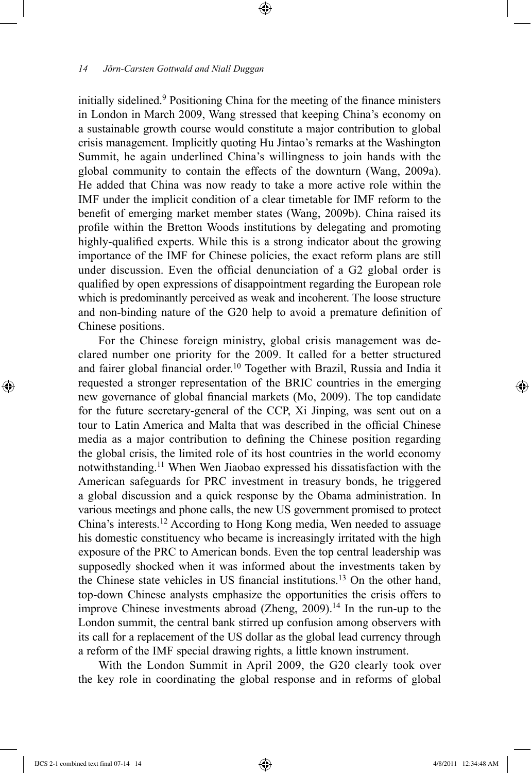initially sidelined.9 Positioning China for the meeting of the finance ministers in London in March 2009, Wang stressed that keeping China's economy on a sustainable growth course would constitute a major contribution to global crisis management. Implicitly quoting Hu Jintao's remarks at the Washington Summit, he again underlined China's willingness to join hands with the global community to contain the effects of the downturn (Wang, 2009a). He added that China was now ready to take a more active role within the IMF under the implicit condition of a clear timetable for IMF reform to the benefit of emerging market member states (Wang, 2009b). China raised its profile within the Bretton Woods institutions by delegating and promoting highly-qualified experts. While this is a strong indicator about the growing importance of the IMF for Chinese policies, the exact reform plans are still under discussion. Even the official denunciation of a G2 global order is qualified by open expressions of disappointment regarding the European role which is predominantly perceived as weak and incoherent. The loose structure and non-binding nature of the G20 help to avoid a premature definition of Chinese positions.

⊕

For the Chinese foreign ministry, global crisis management was declared number one priority for the 2009. It called for a better structured and fairer global financial order.<sup>10</sup> Together with Brazil, Russia and India it requested a stronger representation of the BRIC countries in the emerging new governance of global financial markets (Mo, 2009). The top candidate for the future secretary-general of the CCP, Xi Jinping, was sent out on a tour to Latin America and Malta that was described in the official Chinese media as a major contribution to defining the Chinese position regarding the global crisis, the limited role of its host countries in the world economy notwithstanding.11 When Wen Jiaobao expressed his dissatisfaction with the American safeguards for PRC investment in treasury bonds, he triggered a global discussion and a quick response by the Obama administration. In various meetings and phone calls, the new US government promised to protect China's interests.12 According to Hong Kong media, Wen needed to assuage his domestic constituency who became is increasingly irritated with the high exposure of the PRC to American bonds. Even the top central leadership was supposedly shocked when it was informed about the investments taken by the Chinese state vehicles in US financial institutions.<sup>13</sup> On the other hand, top-down Chinese analysts emphasize the opportunities the crisis offers to improve Chinese investments abroad (Zheng,  $2009$ ).<sup>14</sup> In the run-up to the London summit, the central bank stirred up confusion among observers with its call for a replacement of the US dollar as the global lead currency through a reform of the IMF special drawing rights, a little known instrument.

With the London Summit in April 2009, the G20 clearly took over the key role in coordinating the global response and in reforms of global

⊕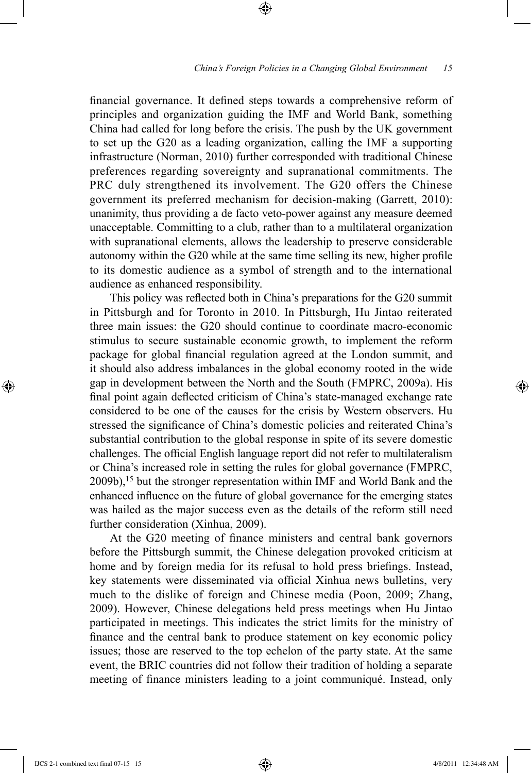## *China's Foreign Policies in a Changing Global Environment 15*

financial governance. It defined steps towards a comprehensive reform of principles and organization guiding the IMF and World Bank, something China had called for long before the crisis. The push by the UK government to set up the G20 as a leading organization, calling the IMF a supporting infrastructure (Norman, 2010) further corresponded with traditional Chinese preferences regarding sovereignty and supranational commitments. The PRC duly strengthened its involvement. The G20 offers the Chinese government its preferred mechanism for decision-making (Garrett, 2010): unanimity, thus providing a de facto veto-power against any measure deemed unacceptable. Committing to a club, rather than to a multilateral organization with supranational elements, allows the leadership to preserve considerable autonomy within the G20 while at the same time selling its new, higher profile to its domestic audience as a symbol of strength and to the international audience as enhanced responsibility.

⊕

This policy was reflected both in China's preparations for the G20 summit in Pittsburgh and for Toronto in 2010. In Pittsburgh, Hu Jintao reiterated three main issues: the G20 should continue to coordinate macro-economic stimulus to secure sustainable economic growth, to implement the reform package for global financial regulation agreed at the London summit, and it should also address imbalances in the global economy rooted in the wide gap in development between the North and the South (FMPRC, 2009a). His final point again deflected criticism of China's state-managed exchange rate considered to be one of the causes for the crisis by Western observers. Hu stressed the significance of China's domestic policies and reiterated China's substantial contribution to the global response in spite of its severe domestic challenges. The official English language report did not refer to multilateralism or China's increased role in setting the rules for global governance (FMPRC, 2009b),15 but the stronger representation within IMF and World Bank and the enhanced influence on the future of global governance for the emerging states was hailed as the major success even as the details of the reform still need further consideration (Xinhua, 2009).

At the G20 meeting of finance ministers and central bank governors before the Pittsburgh summit, the Chinese delegation provoked criticism at home and by foreign media for its refusal to hold press briefings. Instead, key statements were disseminated via official Xinhua news bulletins, very much to the dislike of foreign and Chinese media (Poon, 2009; Zhang, 2009). However, Chinese delegations held press meetings when Hu Jintao participated in meetings. This indicates the strict limits for the ministry of finance and the central bank to produce statement on key economic policy issues; those are reserved to the top echelon of the party state. At the same event, the BRIC countries did not follow their tradition of holding a separate meeting of finance ministers leading to a joint communiqué. Instead, only

IJCS 2-1 combined text final 07-15 15 4/8/2011 12:34:48 AM

⊕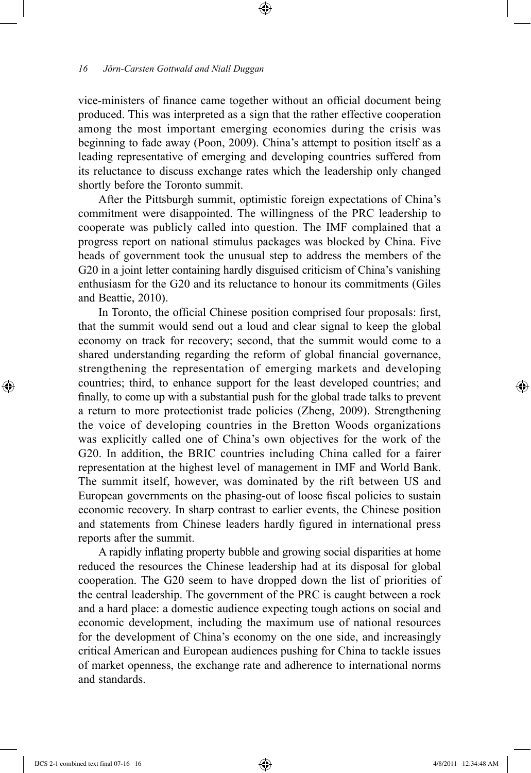vice-ministers of finance came together without an official document being produced. This was interpreted as a sign that the rather effective cooperation among the most important emerging economies during the crisis was beginning to fade away (Poon, 2009). China's attempt to position itself as a leading representative of emerging and developing countries suffered from its reluctance to discuss exchange rates which the leadership only changed shortly before the Toronto summit.

⊕

After the Pittsburgh summit, optimistic foreign expectations of China's commitment were disappointed. The willingness of the PRC leadership to cooperate was publicly called into question. The IMF complained that a progress report on national stimulus packages was blocked by China. Five heads of government took the unusual step to address the members of the G20 in a joint letter containing hardly disguised criticism of China's vanishing enthusiasm for the G20 and its reluctance to honour its commitments (Giles and Beattie, 2010).

In Toronto, the official Chinese position comprised four proposals: first, that the summit would send out a loud and clear signal to keep the global economy on track for recovery; second, that the summit would come to a shared understanding regarding the reform of global financial governance, strengthening the representation of emerging markets and developing countries; third, to enhance support for the least developed countries; and finally, to come up with a substantial push for the global trade talks to prevent a return to more protectionist trade policies (Zheng, 2009). Strengthening the voice of developing countries in the Bretton Woods organizations was explicitly called one of China's own objectives for the work of the G20. In addition, the BRIC countries including China called for a fairer representation at the highest level of management in IMF and World Bank. The summit itself, however, was dominated by the rift between US and European governments on the phasing-out of loose fiscal policies to sustain economic recovery. In sharp contrast to earlier events, the Chinese position and statements from Chinese leaders hardly figured in international press reports after the summit.

A rapidly inflating property bubble and growing social disparities at home reduced the resources the Chinese leadership had at its disposal for global cooperation. The G20 seem to have dropped down the list of priorities of the central leadership. The government of the PRC is caught between a rock and a hard place: a domestic audience expecting tough actions on social and economic development, including the maximum use of national resources for the development of China's economy on the one side, and increasingly critical American and European audiences pushing for China to tackle issues of market openness, the exchange rate and adherence to international norms and standards.

⊕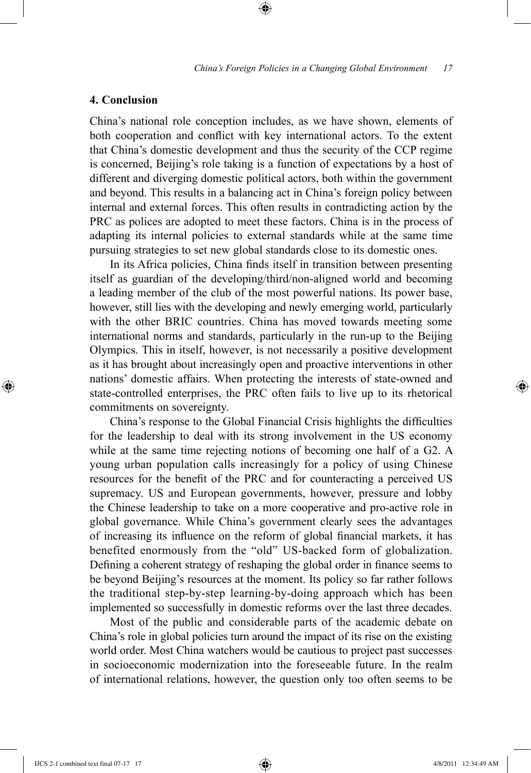## **4. Conclusion**

China's national role conception includes, as we have shown, elements of both cooperation and conflict with key international actors. To the extent that China's domestic development and thus the security of the CCP regime is concerned, Beijing's role taking is a function of expectations by a host of different and diverging domestic political actors, both within the government and beyond. This results in a balancing act in China's foreign policy between internal and external forces. This often results in contradicting action by the PRC as polices are adopted to meet these factors. China is in the process of adapting its internal policies to external standards while at the same time pursuing strategies to set new global standards close to its domestic ones.

⊕

In its Africa policies, China finds itself in transition between presenting itself as guardian of the developing/third/non-aligned world and becoming a leading member of the club of the most powerful nations. Its power base, however, still lies with the developing and newly emerging world, particularly with the other BRIC countries. China has moved towards meeting some international norms and standards, particularly in the run-up to the Beijing Olympics. This in itself, however, is not necessarily a positive development as it has brought about increasingly open and proactive interventions in other nations' domestic affairs. When protecting the interests of state-owned and state-controlled enterprises, the PRC often fails to live up to its rhetorical commitments on sovereignty.

China's response to the Global Financial Crisis highlights the difficulties for the leadership to deal with its strong involvement in the US economy while at the same time rejecting notions of becoming one half of a G2. A young urban population calls increasingly for a policy of using Chinese resources for the benefit of the PRC and for counteracting a perceived US supremacy. US and European governments, however, pressure and lobby the Chinese leadership to take on a more cooperative and pro-active role in global governance. While China's government clearly sees the advantages of increasing its influence on the reform of global financial markets, it has benefited enormously from the "old" US-backed form of globalization. Defining a coherent strategy of reshaping the global order in finance seems to be beyond Beijing's resources at the moment. Its policy so far rather follows the traditional step-by-step learning-by-doing approach which has been implemented so successfully in domestic reforms over the last three decades.

Most of the public and considerable parts of the academic debate on China's role in global policies turn around the impact of its rise on the existing world order. Most China watchers would be cautious to project past successes in socioeconomic modernization into the foreseeable future. In the realm of international relations, however, the question only too often seems to be

⊕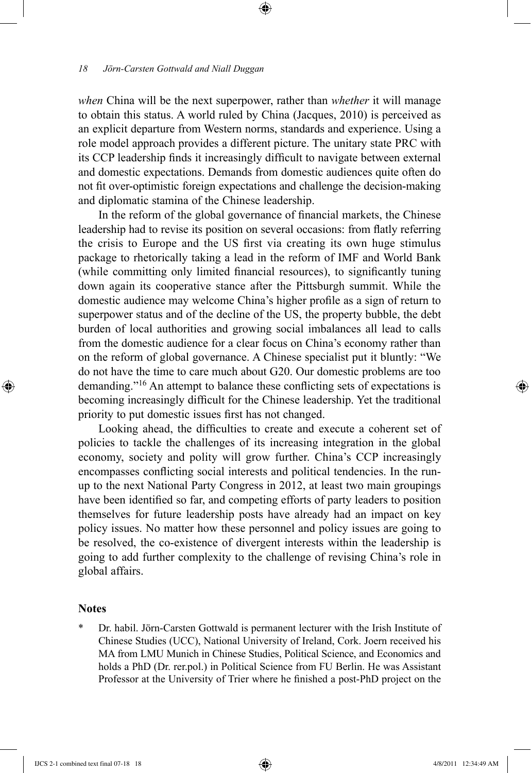*when* China will be the next superpower, rather than *whether* it will manage to obtain this status. A world ruled by China (Jacques, 2010) is perceived as an explicit departure from Western norms, standards and experience. Using a role model approach provides a different picture. The unitary state PRC with its CCP leadership finds it increasingly difficult to navigate between external and domestic expectations. Demands from domestic audiences quite often do not fit over-optimistic foreign expectations and challenge the decision-making and diplomatic stamina of the Chinese leadership.

⊕

In the reform of the global governance of financial markets, the Chinese leadership had to revise its position on several occasions: from flatly referring the crisis to Europe and the US first via creating its own huge stimulus package to rhetorically taking a lead in the reform of IMF and World Bank (while committing only limited financial resources), to significantly tuning down again its cooperative stance after the Pittsburgh summit. While the domestic audience may welcome China's higher profile as a sign of return to superpower status and of the decline of the US, the property bubble, the debt burden of local authorities and growing social imbalances all lead to calls from the domestic audience for a clear focus on China's economy rather than on the reform of global governance. A Chinese specialist put it bluntly: "We do not have the time to care much about G20. Our domestic problems are too demanding."16 An attempt to balance these conflicting sets of expectations is becoming increasingly difficult for the Chinese leadership. Yet the traditional priority to put domestic issues first has not changed.

Looking ahead, the difficulties to create and execute a coherent set of policies to tackle the challenges of its increasing integration in the global economy, society and polity will grow further. China's CCP increasingly encompasses conflicting social interests and political tendencies. In the runup to the next National Party Congress in 2012, at least two main groupings have been identified so far, and competing efforts of party leaders to position themselves for future leadership posts have already had an impact on key policy issues. No matter how these personnel and policy issues are going to be resolved, the co-existence of divergent interests within the leadership is going to add further complexity to the challenge of revising China's role in global affairs.

## **Notes**

⊕

\* Dr. habil. Jörn-Carsten Gottwald is permanent lecturer with the Irish Institute of Chinese Studies (UCC), National University of Ireland, Cork. Joern received his MA from LMU Munich in Chinese Studies, Political Science, and Economics and holds a PhD (Dr. rer.pol.) in Political Science from FU Berlin. He was Assistant Professor at the University of Trier where he finished a post-PhD project on the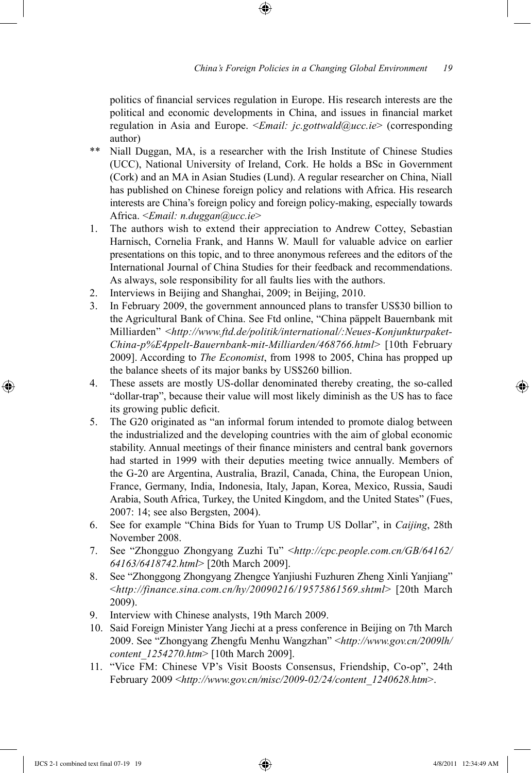politics of financial services regulation in Europe. His research interests are the political and economic developments in China, and issues in financial market regulation in Asia and Europe. <*Email: jc.gottwald@ucc.ie*> (corresponding author)

- \*\* Niall Duggan, MA, is a researcher with the Irish Institute of Chinese Studies (UCC), National University of Ireland, Cork. He holds a BSc in Government (Cork) and an MA in Asian Studies (Lund). A regular researcher on China, Niall has published on Chinese foreign policy and relations with Africa. His research interests are China's foreign policy and foreign policy-making, especially towards Africa. <*Email: n.duggan@ucc.ie*>
- 1. The authors wish to extend their appreciation to Andrew Cottey, Sebastian Harnisch, Cornelia Frank, and Hanns W. Maull for valuable advice on earlier presentations on this topic, and to three anonymous referees and the editors of the International Journal of China Studies for their feedback and recommendations. As always, sole responsibility for all faults lies with the authors.
- 2. Interviews in Beijing and Shanghai, 2009; in Beijing, 2010.
- 3. In February 2009, the government announced plans to transfer US\$30 billion to the Agricultural Bank of China. See Ftd online, "China päppelt Bauernbank mit Milliarden" <*http://www.ftd.de/politik/international/:Neues-Konjunkturpaket-China-p%E4ppelt-Bauernbank-mit-Milliarden/468766.html*> [10th February 2009]. According to *The Economist*, from 1998 to 2005, China has propped up the balance sheets of its major banks by US\$260 billion.
- 4. These assets are mostly US-dollar denominated thereby creating, the so-called "dollar-trap", because their value will most likely diminish as the US has to face its growing public deficit.
- 5. The G20 originated as "an informal forum intended to promote dialog between the industrialized and the developing countries with the aim of global economic stability. Annual meetings of their finance ministers and central bank governors had started in 1999 with their deputies meeting twice annually. Members of the G-20 are Argentina, Australia, Brazil, Canada, China, the European Union, France, Germany, India, Indonesia, Italy, Japan, Korea, Mexico, Russia, Saudi Arabia, South Africa, Turkey, the United Kingdom, and the United States" (Fues, 2007: 14; see also Bergsten, 2004).
- 6. See for example "China Bids for Yuan to Trump US Dollar", in *Caijing*, 28th November 2008.
- 7. See "Zhongguo Zhongyang Zuzhi Tu" <*http://cpc.people.com.cn/GB/64162/ 64163/6418742.html*> [20th March 2009].
- 8. See "Zhonggong Zhongyang Zhengce Yanjiushi Fuzhuren Zheng Xinli Yanjiang" <*http://finance.sina.com.cn/hy/20090216/19575861569.shtml*> [20th March 2009).
- 9. Interview with Chinese analysts, 19th March 2009.
- 10. Said Foreign Minister Yang Jiechi at a press conference in Beijing on 7th March 2009. See "Zhongyang Zhengfu Menhu Wangzhan" <*http://www.gov.cn/2009lh/ content\_1254270.htm*> [10th March 2009].
- 11. "Vice FM: Chinese VP's Visit Boosts Consensus, Friendship, Co-op", 24th February 2009 <*http://www.gov.cn/misc/2009-02/24/content\_1240628.htm*>.

IJCS 2-1 combined text final 07-19 19 4/8/2011 12:34:49 AM

⊕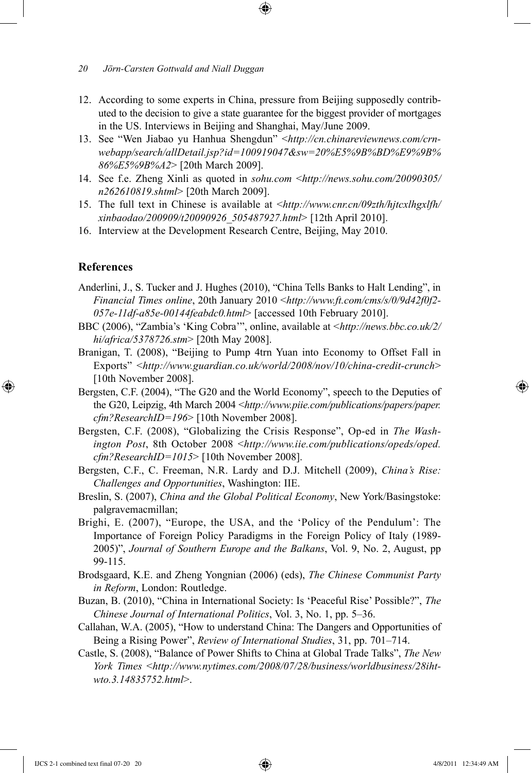- 12. According to some experts in China, pressure from Beijing supposedly contributed to the decision to give a state guarantee for the biggest provider of mortgages in the US. Interviews in Beijing and Shanghai, May/June 2009.
- 13. See "Wen Jiabao yu Hanhua Shengdun" <*http://cn.chinareviewnews.com/crnwebapp/search/allDetail.jsp?id=100919047&sw=20%E5%9B%BD%E9%9B% 86%E5%9B%A2*> [20th March 2009].
- 14. See f.e. Zheng Xinli as quoted in *sohu.com* <*http://news.sohu.com/20090305/ n262610819.shtml*> [20th March 2009].
- 15. The full text in Chinese is available at <*http://www.cnr.cn/09zth/hjtcxlhgxlfh/ xinbaodao/200909/t20090926\_505487927.html*> [12th April 2010].
- 16. Interview at the Development Research Centre, Beijing, May 2010.

## **References**

⊕

- Anderlini, J., S. Tucker and J. Hughes (2010), "China Tells Banks to Halt Lending", in *Financial Times online*, 20th January 2010 <*http://www.ft.com/cms/s/0/9d42f0f2- 057e-11df-a85e-00144feabdc0.html*> [accessed 10th February 2010].
- BBC (2006), "Zambia's 'King Cobra'", online, available at <*http://news.bbc.co.uk/2/ hi/africa/5378726.stm*> [20th May 2008].
- Branigan, T. (2008), "Beijing to Pump 4trn Yuan into Economy to Offset Fall in Exports" <*http://www.guardian.co.uk/world/2008/nov/10/china-credit-crunch*> [10th November 2008].
- Bergsten, C.F. (2004), "The G20 and the World Economy", speech to the Deputies of the G20, Leipzig, 4th March 2004 <*http://www.piie.com/publications/papers/paper. cfm?ResearchID=196*> [10th November 2008].
- Bergsten, C.F. (2008), "Globalizing the Crisis Response", Op-ed in *The Washington Post*, 8th October 2008 <*http://www.iie.com/publications/opeds/oped. cfm?ResearchID=1015*> [10th November 2008].
- Bergsten, C.F., C. Freeman, N.R. Lardy and D.J. Mitchell (2009), *China's Rise: Challenges and Opportunities*, Washington: IIE.
- Breslin, S. (2007), *China and the Global Political Economy*, New York/Basingstoke: palgravemacmillan;
- Brighi, E. (2007), "Europe, the USA, and the 'Policy of the Pendulum': The Importance of Foreign Policy Paradigms in the Foreign Policy of Italy (1989- 2005)", *Journal of Southern Europe and the Balkans*, Vol. 9, No. 2, August, pp 99-115.
- Brodsgaard, K.E. and Zheng Yongnian (2006) (eds), *The Chinese Communist Party in Reform*, London: Routledge.
- Buzan, B. (2010), "China in International Society: Is 'Peaceful Rise' Possible?", *The Chinese Journal of International Politics*, Vol. 3, No. 1, pp. 5–36.
- Callahan, W.A. (2005), "How to understand China: The Dangers and Opportunities of Being a Rising Power", *Review of International Studies*, 31, pp. 701–714.
- Castle, S. (2008), "Balance of Power Shifts to China at Global Trade Talks", *The New York Times* <*http://www.nytimes.com/2008/07/28/business/worldbusiness/28ihtwto.3.14835752.html*>.

↔

*<sup>20</sup> Jörn-Carsten Gottwald and Niall Duggan*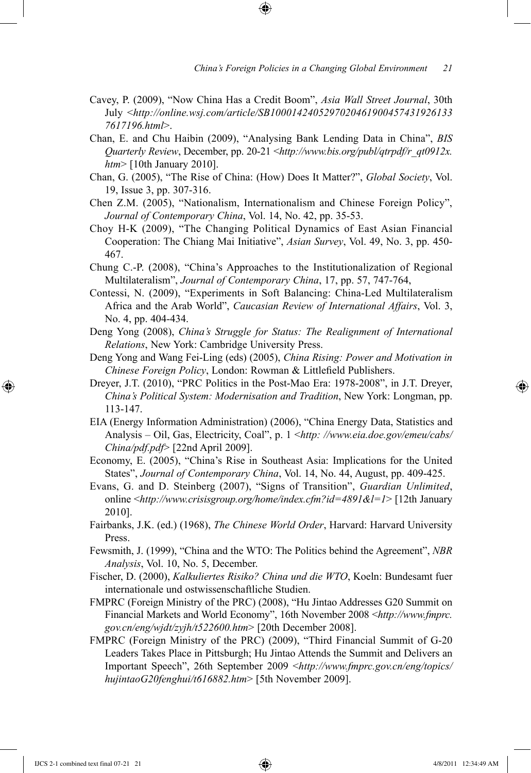- Cavey, P. (2009), "Now China Has a Credit Boom", *Asia Wall Street Journal*, 30th July <*http://online.wsj.com/article/SB1000142405297020461900457431926133 7617196.html*>.
- Chan, E. and Chu Haibin (2009), "Analysing Bank Lending Data in China", *BIS Quarterly Review*, December, pp. 20-21 <*http://www.bis.org/publ/qtrpdf/r\_qt0912x. htm*> [10th January 2010].
- Chan, G. (2005), "The Rise of China: (How) Does It Matter?", *Global Society*, Vol. 19, Issue 3, pp. 307-316.
- Chen Z.M. (2005), "Nationalism, Internationalism and Chinese Foreign Policy", *Journal of Contemporary China*, Vol. 14, No. 42, pp. 35-53.
- Choy H-K (2009), "The Changing Political Dynamics of East Asian Financial Cooperation: The Chiang Mai Initiative", *Asian Survey*, Vol. 49, No. 3, pp. 450- 467.
- Chung C.-P. (2008), "China's Approaches to the Institutionalization of Regional Multilateralism", *Journal of Contemporary China*, 17, pp. 57, 747-764,
- Contessi, N. (2009), "Experiments in Soft Balancing: China-Led Multilateralism Africa and the Arab World", *Caucasian Review of International Affairs*, Vol. 3, No. 4, pp. 404-434.
- Deng Yong (2008), *China's Struggle for Status: The Realignment of International Relations*, New York: Cambridge University Press.
- Deng Yong and Wang Fei-Ling (eds) (2005), *China Rising: Power and Motivation in Chinese Foreign Policy*, London: Rowman & Littlefield Publishers.
- Dreyer, J.T. (2010), "PRC Politics in the Post-Mao Era: 1978-2008", in J.T. Dreyer, *China's Political System: Modernisation and Tradition*, New York: Longman, pp. 113-147.
- EIA (Energy Information Administration) (2006), "China Energy Data, Statistics and Analysis – Oil, Gas, Electricity, Coal", p. 1 <*http: //www.eia.doe.gov/emeu/cabs/ China/pdf.pdf*> [22nd April 2009].
- Economy, E. (2005), "China's Rise in Southeast Asia: Implications for the United States", *Journal of Contemporary China*, Vol. 14, No. 44, August, pp. 409-425.
- Evans, G. and D. Steinberg (2007), "Signs of Transition", *Guardian Unlimited*, online <*http://www.crisisgroup.org/home/index.cfm?id=4891&l=1*> [12th January 2010].
- Fairbanks, J.K. (ed.) (1968), *The Chinese World Order*, Harvard: Harvard University Press.
- Fewsmith, J. (1999), "China and the WTO: The Politics behind the Agreement", *NBR Analysis*, Vol. 10, No. 5, December.
- Fischer, D. (2000), *Kalkuliertes Risiko? China und die WTO*, Koeln: Bundesamt fuer internationale und ostwissenschaftliche Studien.
- FMPRC (Foreign Ministry of the PRC) (2008), "Hu Jintao Addresses G20 Summit on Financial Markets and World Economy", 16th November 2008 <*http://www.fmprc. gov.cn/eng/wjdt/zyjh/t522600.htm*> [20th December 2008].
- FMPRC (Foreign Ministry of the PRC) (2009), "Third Financial Summit of G-20 Leaders Takes Place in Pittsburgh; Hu Jintao Attends the Summit and Delivers an Important Speech", 26th September 2009 <*http://www.fmprc.gov.cn/eng/topics/ hujintaoG20fenghui/t616882.htm*> [5th November 2009].

⊕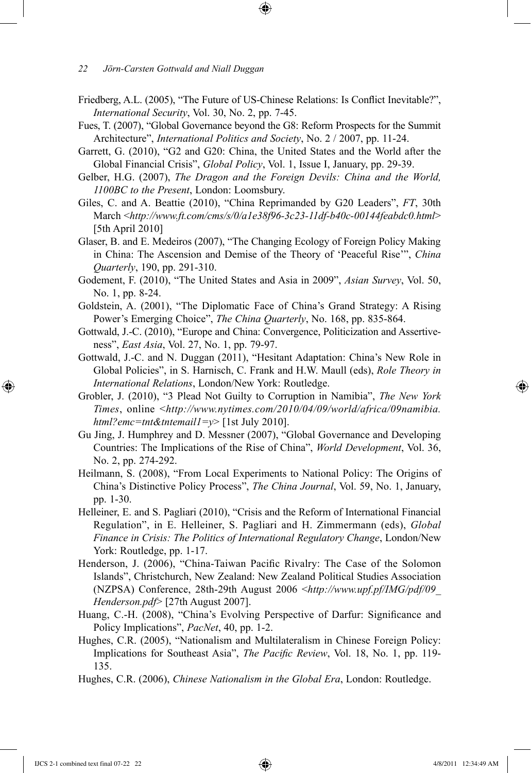- Friedberg, A.L. (2005), "The Future of US-Chinese Relations: Is Conflict Inevitable?", *International Security*, Vol. 30, No. 2, pp. 7-45.
- Fues, T. (2007), "Global Governance beyond the G8: Reform Prospects for the Summit Architecture", *International Politics and Society*, No. 2 / 2007, pp. 11-24.
- Garrett, G. (2010), "G2 and G20: China, the United States and the World after the Global Financial Crisis", *Global Policy*, Vol. 1, Issue I, January, pp. 29-39.
- Gelber, H.G. (2007), *The Dragon and the Foreign Devils: China and the World, 1100BC to the Present*, London: Loomsbury.
- Giles, C. and A. Beattie (2010), "China Reprimanded by G20 Leaders", *FT*, 30th March <*http://www.ft.com/cms/s/0/a1e38f96-3c23-11df-b40c-00144feabdc0.html*> [5th April 2010]
- Glaser, B. and E. Medeiros (2007), "The Changing Ecology of Foreign Policy Making in China: The Ascension and Demise of the Theory of 'Peaceful Rise'", *China Quarterly*, 190, pp. 291-310.
- Godement, F. (2010), "The United States and Asia in 2009", *Asian Survey*, Vol. 50, No. 1, pp. 8-24.
- Goldstein, A. (2001), "The Diplomatic Face of China's Grand Strategy: A Rising Power's Emerging Choice", *The China Quarterly*, No. 168, pp. 835-864.
- Gottwald, J.-C. (2010), "Europe and China: Convergence, Politicization and Assertiveness", *East Asia*, Vol. 27, No. 1, pp. 79-97.
- Gottwald, J.-C. and N. Duggan (2011), "Hesitant Adaptation: China's New Role in Global Policies", in S. Harnisch, C. Frank and H.W. Maull (eds), *Role Theory in International Relations*, London/New York: Routledge.
- Grobler, J. (2010), "3 Plead Not Guilty to Corruption in Namibia", *The New York Times*, online <*http://www.nytimes.com/2010/04/09/world/africa/09namibia. html?emc=tnt&tntemail1=y*> [1st July 2010].
- Gu Jing, J. Humphrey and D. Messner (2007), "Global Governance and Developing Countries: The Implications of the Rise of China", *World Development*, Vol. 36, No. 2, pp. 274-292.
- Heilmann, S. (2008), "From Local Experiments to National Policy: The Origins of China's Distinctive Policy Process", *The China Journal*, Vol. 59, No. 1, January, pp. 1-30.
- Helleiner, E. and S. Pagliari (2010), "Crisis and the Reform of International Financial Regulation", in E. Helleiner, S. Pagliari and H. Zimmermann (eds), *Global Finance in Crisis: The Politics of International Regulatory Change*, London/New York: Routledge, pp. 1-17.
- Henderson, J. (2006), "China-Taiwan Pacific Rivalry: The Case of the Solomon Islands", Christchurch, New Zealand: New Zealand Political Studies Association (NZPSA) Conference, 28th-29th August 2006 <*http://www.upf.pf/IMG/pdf/09\_ Henderson.pdf*> [27th August 2007].
- Huang, C.-H. (2008), "China's Evolving Perspective of Darfur: Significance and Policy Implications", *PacNet*, 40, pp. 1-2.
- Hughes, C.R. (2005), "Nationalism and Multilateralism in Chinese Foreign Policy: Implications for Southeast Asia", *The Pacific Review*, Vol. 18, No. 1, pp. 119- 135.
- Hughes, C.R. (2006), *Chinese Nationalism in the Global Era*, London: Routledge.

IJCS 2-1 combined text final 07-22 22 4/8/2011 12:34:49 AM

⊕

↔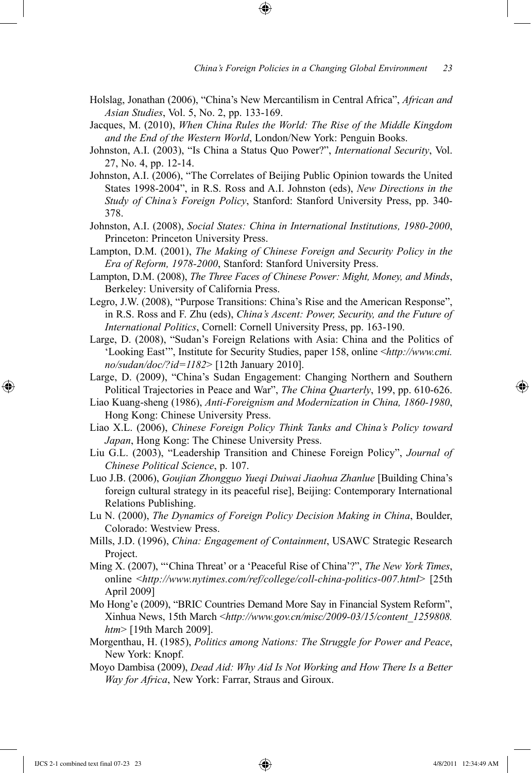- Holslag, Jonathan (2006), "China's New Mercantilism in Central Africa", *African and Asian Studies*, Vol. 5, No. 2, pp. 133-169.
- Jacques, M. (2010), *When China Rules the World: The Rise of the Middle Kingdom and the End of the Western World*, London/New York: Penguin Books.
- Johnston, A.I. (2003), "Is China a Status Quo Power?", *International Security*, Vol. 27, No. 4, pp. 12-14.
- Johnston, A.I. (2006), "The Correlates of Beijing Public Opinion towards the United States 1998-2004", in R.S. Ross and A.I. Johnston (eds), *New Directions in the Study of China's Foreign Policy*, Stanford: Stanford University Press, pp. 340- 378.
- Johnston, A.I. (2008), *Social States: China in International Institutions, 1980-2000*, Princeton: Princeton University Press.
- Lampton, D.M. (2001), *The Making of Chinese Foreign and Security Policy in the Era of Reform, 1978-2000*, Stanford: Stanford University Press.
- Lampton, D.M. (2008), *The Three Faces of Chinese Power: Might, Money, and Minds*, Berkeley: University of California Press.
- Legro, J.W. (2008), "Purpose Transitions: China's Rise and the American Response", in R.S. Ross and F. Zhu (eds), *China's Ascent: Power, Security, and the Future of International Politics*, Cornell: Cornell University Press, pp. 163-190.
- Large, D. (2008), "Sudan's Foreign Relations with Asia: China and the Politics of 'Looking East'", Institute for Security Studies, paper 158, online <*http://www.cmi. no/sudan/doc/?id=1182*> [12th January 2010].
- Large, D. (2009), "China's Sudan Engagement: Changing Northern and Southern Political Trajectories in Peace and War", *The China Quarterly*, 199, pp. 610-626.
- Liao Kuang-sheng (1986), *Anti-Foreignism and Modernization in China, 1860-1980*, Hong Kong: Chinese University Press.
- Liao X.L. (2006), *Chinese Foreign Policy Think Tanks and China's Policy toward Japan*, Hong Kong: The Chinese University Press.
- Liu G.L. (2003), "Leadership Transition and Chinese Foreign Policy", *Journal of Chinese Political Science*, p. 107.
- Luo J.B. (2006), *Goujian Zhongguo Yueqi Duiwai Jiaohua Zhanlue* [Building China's foreign cultural strategy in its peaceful rise], Beijing: Contemporary International Relations Publishing.
- Lu N. (2000), *The Dynamics of Foreign Policy Decision Making in China*, Boulder, Colorado: Westview Press.
- Mills, J.D. (1996), *China: Engagement of Containment*, USAWC Strategic Research Project.
- Ming X. (2007), "'China Threat' or a 'Peaceful Rise of China'?", *The New York Times*, online <*http://www.nytimes.com/ref/college/coll-china-politics-007.html*> [25th April 2009]
- Mo Hong'e (2009), "BRIC Countries Demand More Say in Financial System Reform", Xinhua News, 15th March <*http://www.gov.cn/misc/2009-03/15/content\_1259808. htm*> [19th March 2009].
- Morgenthau, H. (1985), *Politics among Nations: The Struggle for Power and Peace*, New York: Knopf.
- Moyo Dambisa (2009), *Dead Aid: Why Aid Is Not Working and How There Is a Better Way for Africa*, New York: Farrar, Straus and Giroux.

⊕

↔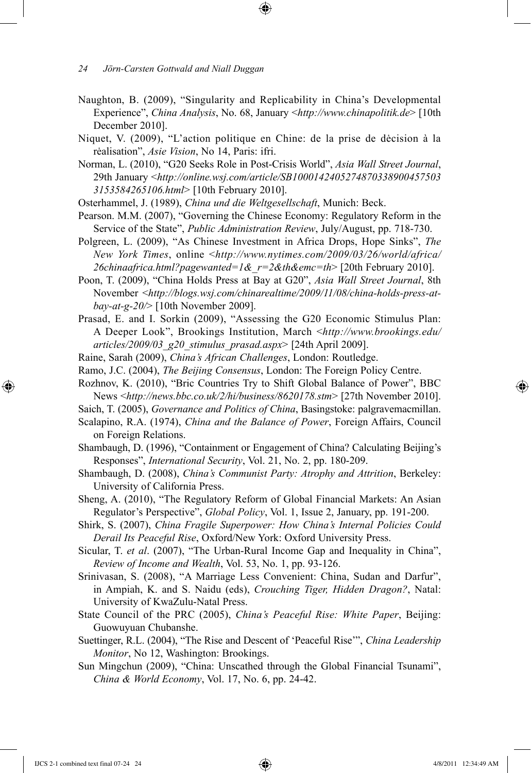- Naughton, B. (2009), "Singularity and Replicability in China's Developmental Experience", *China Analysis*, No. 68, January <*http://www.chinapolitik.de*> [10th December 2010].
- Niquet, V. (2009), "L'action politique en Chine: de la prise de dėcision à la rėalisation", *Asie Vision*, No 14, Paris: ifri.
- Norman, L. (2010), "G20 Seeks Role in Post-Crisis World", *Asia Wall Street Journal*, 29th January <*http://online.wsj.com/article/SB1000142405274870338900457503 3153584265106.html*> [10th February 2010].
- Osterhammel, J. (1989), *China und die Weltgesellschaft*, Munich: Beck.
- Pearson. M.M. (2007), "Governing the Chinese Economy: Regulatory Reform in the Service of the State", *Public Administration Review*, July/August, pp. 718-730.
- Polgreen, L. (2009), "As Chinese Investment in Africa Drops, Hope Sinks", *The New York Times*, online <*http://www.nytimes.com/2009/03/26/world/africa/ 26chinaafrica.html?pagewanted=1&\_r=2&th&emc=th*> [20th February 2010].
- Poon, T. (2009), "China Holds Press at Bay at G20", *Asia Wall Street Journal*, 8th November <*http://blogs.wsj.com/chinarealtime/2009/11/08/china-holds-press-atbay-at-g-20/*> [10th November 2009].
- Prasad, E. and I. Sorkin (2009), "Assessing the G20 Economic Stimulus Plan: A Deeper Look", Brookings Institution, March <*http://www.brookings.edu/ articles/2009/03\_g20\_stimulus\_prasad.aspx*> [24th April 2009].
- Raine, Sarah (2009), *China's African Challenges*, London: Routledge.
- Ramo, J.C. (2004), *The Beijing Consensus*, London: The Foreign Policy Centre.
- Rozhnov, K. (2010), "Bric Countries Try to Shift Global Balance of Power", BBC News <*http://news.bbc.co.uk/2/hi/business/8620178.stm*> [27th November 2010].
- Saich, T. (2005), *Governance and Politics of China*, Basingstoke: palgravemacmillan.
- Scalapino, R.A. (1974), *China and the Balance of Power*, Foreign Affairs, Council on Foreign Relations.
- Shambaugh, D. (1996), "Containment or Engagement of China? Calculating Beijing's Responses", *International Security*, Vol. 21, No. 2, pp. 180-209.
- Shambaugh, D. (2008), *China's Communist Party: Atrophy and Attrition*, Berkeley: University of California Press.
- Sheng, A. (2010), "The Regulatory Reform of Global Financial Markets: An Asian Regulator's Perspective", *Global Policy*, Vol. 1, Issue 2, January, pp. 191-200.
- Shirk, S. (2007), *China Fragile Superpower: How China's Internal Policies Could Derail Its Peaceful Rise*, Oxford/New York: Oxford University Press.
- Sicular, T. *et al*. (2007), "The Urban-Rural Income Gap and Inequality in China", *Review of Income and Wealth*, Vol. 53, No. 1, pp. 93-126.
- Srinivasan, S. (2008), "A Marriage Less Convenient: China, Sudan and Darfur", in Ampiah, K. and S. Naidu (eds), *Crouching Tiger, Hidden Dragon?*, Natal: University of KwaZulu-Natal Press.
- State Council of the PRC (2005), *China's Peaceful Rise: White Paper*, Beijing: Guowuyuan Chubanshe.
- Suettinger, R.L. (2004), "The Rise and Descent of 'Peaceful Rise'", *China Leadership Monitor*, No 12, Washington: Brookings.
- Sun Mingchun (2009), "China: Unscathed through the Global Financial Tsunami", *China & World Economy*, Vol. 17, No. 6, pp. 24-42.

IJCS 2-1 combined text final 07-24 24 4/8/2011 12:34:49 AM

⊕

*<sup>24</sup> Jörn-Carsten Gottwald and Niall Duggan*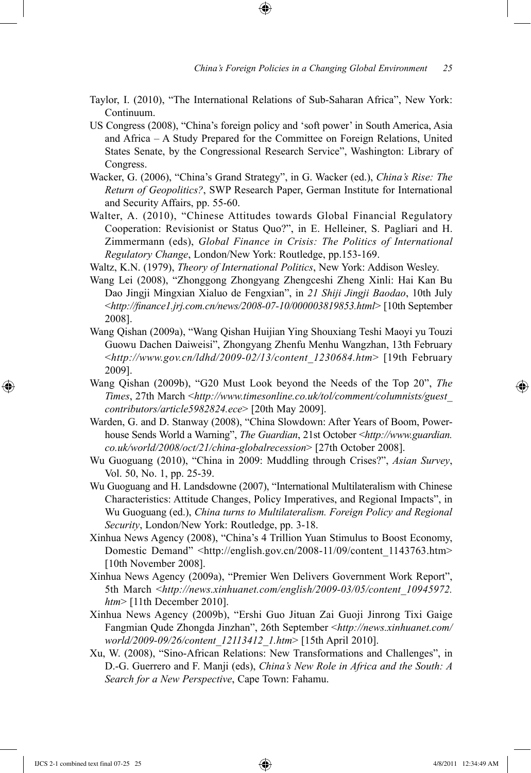- Taylor, I. (2010), "The International Relations of Sub-Saharan Africa", New York: Continuum.
- US Congress (2008), "China's foreign policy and 'soft power' in South America, Asia and Africa – A Study Prepared for the Committee on Foreign Relations, United States Senate, by the Congressional Research Service", Washington: Library of Congress.
- Wacker, G. (2006), "China's Grand Strategy", in G. Wacker (ed.), *China's Rise: The Return of Geopolitics?*, SWP Research Paper, German Institute for International and Security Affairs, pp. 55-60.
- Walter, A. (2010), "Chinese Attitudes towards Global Financial Regulatory Cooperation: Revisionist or Status Quo?", in E. Helleiner, S. Pagliari and H. Zimmermann (eds), *Global Finance in Crisis: The Politics of International Regulatory Change*, London/New York: Routledge, pp.153-169.
- Waltz, K.N. (1979), *Theory of International Politics*, New York: Addison Wesley.
- Wang Lei (2008), "Zhonggong Zhongyang Zhengceshi Zheng Xinli: Hai Kan Bu Dao Jingji Mingxian Xialuo de Fengxian", in *21 Shiji Jingji Baodao*, 10th July <*http://finance1.jrj.com.cn/news/2008-07-10/000003819853.html*> [10th September 2008].
- Wang Qishan (2009a), "Wang Qishan Huijian Ying Shouxiang Teshi Maoyi yu Touzi Guowu Dachen Daiweisi", Zhongyang Zhenfu Menhu Wangzhan, 13th February <*http://www.gov.cn/ldhd/2009-02/13/content\_1230684.htm*> [19th February 2009].
- Wang Qishan (2009b), "G20 Must Look beyond the Needs of the Top 20", *The Times*, 27th March <*http://www.timesonline.co.uk/tol/comment/columnists/guest\_ contributors/article5982824.ece*> [20th May 2009].
- Warden, G. and D. Stanway (2008), "China Slowdown: After Years of Boom, Powerhouse Sends World a Warning", *The Guardian*, 21st October <*http://www.guardian. co.uk/world/2008/oct/21/china-globalrecession*> [27th October 2008].
- Wu Guoguang (2010), "China in 2009: Muddling through Crises?", *Asian Survey*, Vol. 50, No. 1, pp. 25-39.
- Wu Guoguang and H. Landsdowne (2007), "International Multilateralism with Chinese Characteristics: Attitude Changes, Policy Imperatives, and Regional Impacts", in Wu Guoguang (ed.), *China turns to Multilateralism. Foreign Policy and Regional Security*, London/New York: Routledge, pp. 3-18.
- Xinhua News Agency (2008), "China's 4 Trillion Yuan Stimulus to Boost Economy, Domestic Demand" <http://english.gov.cn/2008-11/09/content\_1143763.htm> [10th November 2008].
- Xinhua News Agency (2009a), "Premier Wen Delivers Government Work Report", 5th March <*http://news.xinhuanet.com/english/2009-03/05/content\_10945972. htm*> [11th December 2010].
- Xinhua News Agency (2009b), "Ershi Guo Jituan Zai Guoji Jinrong Tixi Gaige Fangmian Qude Zhongda Jinzhan", 26th September <*http://news.xinhuanet.com/ world/2009-09/26/content\_12113412\_1.htm*> [15th April 2010].
- Xu, W. (2008), "Sino-African Relations: New Transformations and Challenges", in D.-G. Guerrero and F. Manji (eds), *China's New Role in Africa and the South: A Search for a New Perspective*, Cape Town: Fahamu.

⊕